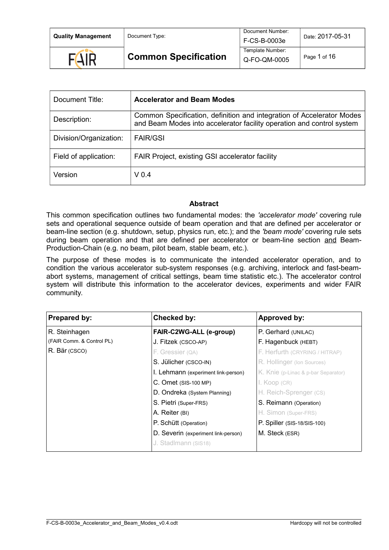| <b>Quality Management</b> | Document Type:              | Document Number:<br>F-CS-B-0003e | Date: 2017-05-31 |
|---------------------------|-----------------------------|----------------------------------|------------------|
| <b>FAIR</b>               | <b>Common Specification</b> | Template Number:<br>Q-FO-QM-0005 | Page 1 of 16     |

| Document Title:        | <b>Accelerator and Beam Modes</b>                                                                                                              |
|------------------------|------------------------------------------------------------------------------------------------------------------------------------------------|
| Description:           | Common Specification, definition and integration of Accelerator Modes<br>and Beam Modes into accelerator facility operation and control system |
| Division/Organization: | <b>FAIR/GSI</b>                                                                                                                                |
| Field of application:  | FAIR Project, existing GSI accelerator facility                                                                                                |
| Version                | V <sub>0.4</sub>                                                                                                                               |

#### **Abstract**

This common specification outlines two fundamental modes: the *'accelerator mode'* covering rule sets and operational sequence outside of beam operation and that are defined per accelerator or beam-line section (e.g. shutdown, setup, physics run, etc.); and the *'beam mode'* covering rule sets during beam operation and that are defined per accelerator or beam-line section and Beam-Production-Chain (e.g. no beam, pilot beam, stable beam, etc.).

The purpose of these modes is to communicate the intended accelerator operation, and to condition the various accelerator sub-system responses (e.g. archiving, interlock and fast-beamabort systems, management of critical settings, beam time statistic etc.). The accelerator control system will distribute this information to the accelerator devices, experiments and wider FAIR community.

| Prepared by:              | Checked by:                         | Approved by:                        |
|---------------------------|-------------------------------------|-------------------------------------|
| R. Steinhagen             | FAIR-C2WG-ALL (e-group)             | P. Gerhard (UNILAC)                 |
| (FAIR Comm. & Control PL) | J. Fitzek (CSCO-AP)                 | F. Hagenbuck (HEBT)                 |
| R. Bär (CSCO)             | F. Gressier (QA)                    | F. Herfurth (CRYRING / HITRAP)      |
|                           | S. Jülicher (CSCO-IN)               | R. Hollinger (Ion Sources)          |
|                           | I. Lehmann (experiment link-person) | K. Knie (p-Linac & p-bar Separator) |
|                           | $C.$ Omet $(SIS-100 MP)$            | l. Koop (CR)                        |
|                           | D. Ondreka (System Planning)        | H. Reich-Sprenger (CS)              |
|                           | S. Pietri (Super-FRS)               | S. Reimann (Operation)              |
|                           | A. Reiter (BI)                      | H. Simon (Super-FRS)                |
|                           | P. Schütt (Operation)               | P. Spiller (SIS-18/SIS-100)         |
|                           | D. Severin (experiment link-person) | M. Steck (ESR)                      |
|                           | J. Stadlmann (SIS18)                |                                     |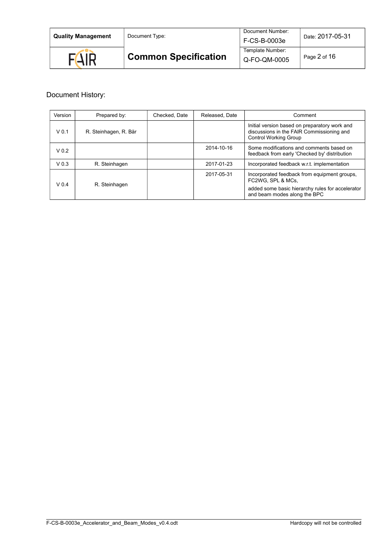| <b>Quality Management</b> | Document Type:              | Document Number:<br>F-CS-B-0003e | Date: 2017-05-31 |  |
|---------------------------|-----------------------------|----------------------------------|------------------|--|
| <b>FAIR</b>               | <b>Common Specification</b> | Template Number:<br>Q-FO-QM-0005 | Page 2 of 16     |  |

# Document History:

| Version          | Prepared by:          | Checked, Date | Released, Date | Comment                                                                                                                                               |
|------------------|-----------------------|---------------|----------------|-------------------------------------------------------------------------------------------------------------------------------------------------------|
| V <sub>0.1</sub> | R. Steinhagen, R. Bär |               |                | Initial version based on preparatory work and<br>discussions in the FAIR Commissioning and<br><b>Control Working Group</b>                            |
| V <sub>0.2</sub> |                       |               | 2014-10-16     | Some modifications and comments based on<br>feedback from early 'Checked by' distribution                                                             |
| V <sub>0.3</sub> | R. Steinhagen         |               | 2017-01-23     | Incorporated feedback w.r.t. implementation                                                                                                           |
| V <sub>04</sub>  | R. Steinhagen         |               | 2017-05-31     | Incorporated feedback from equipment groups,<br>FC2WG, SPL & MCs,<br>added some basic hierarchy rules for accelerator<br>and beam modes along the BPC |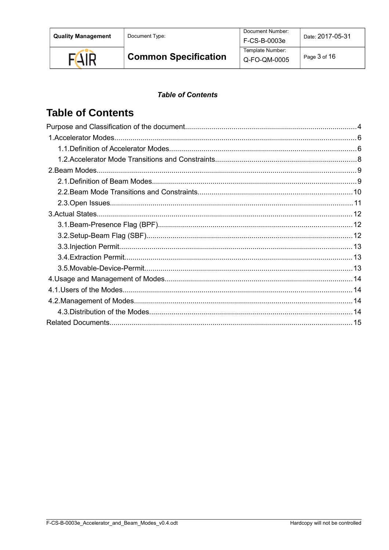Document Type:



**Common Specification** 

F-CS-B-0003e Template Number: Q-FO-QM-0005

Document Number:

Page 3 of 16

### **Table of Contents**

# **Table of Contents**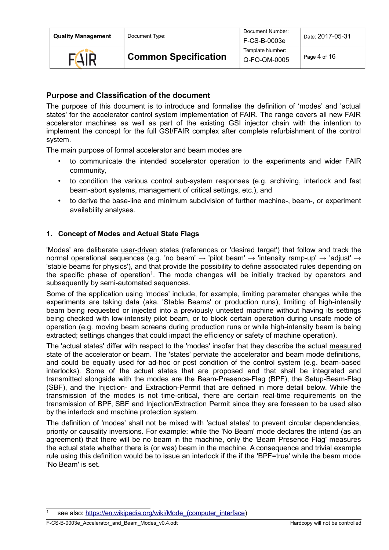| <b>Quality Management</b> |  |  |
|---------------------------|--|--|
|---------------------------|--|--|

**Document Type:** 



# <span id="page-3-0"></span>**Purpose and Classification of the document**

The purpose of this document is to introduce and formalise the definition of 'modes' and 'actual states' for the accelerator control system implementation of FAIR. The range covers all new FAIR accelerator machines as well as part of the existing GSI injector chain with the intention to implement the concept for the full GSI/FAIR complex after complete refurbishment of the control system.

The main purpose of formal accelerator and beam modes are

- to communicate the intended accelerator operation to the experiments and wider FAIR community,
- to condition the various control sub-system responses (e.g. archiving, interlock and fast beam-abort systems, management of critical settings, etc.), and
- to derive the base-line and minimum subdivision of further machine-, beam-, or experiment availability analyses.

### **1. Concept of Modes and Actual State Flags**

'Modes' are deliberate user-driven states (references or 'desired target') that follow and track the normal operational sequences (e.g. 'no beam'  $\rightarrow$  'pilot beam'  $\rightarrow$  'intensity ramp-up'  $\rightarrow$  'adjust'  $\rightarrow$ 'stable beams for physics'), and that provide the possibility to define associated rules depending on the specific phase of operation<sup>[1](#page-3-1)</sup>. The mode changes will be initially tracked by operators and subsequently by semi-automated sequences.

Some of the application using 'modes' include, for example, limiting parameter changes while the experiments are taking data (aka. 'Stable Beams' or production runs), limiting of high-intensity beam being requested or injected into a previously untested machine without having its settings being checked with low-intensity pilot beam, or to block certain operation during unsafe mode of operation (e.g. moving beam screens during production runs or while high-intensity beam is being extracted; settings changes that could impact the efficiency or safety of machine operation).

The 'actual states' differ with respect to the 'modes' insofar that they describe the actual measured state of the accelerator or beam. The 'states' perviate the accelerator and beam mode definitions, and could be equally used for ad-hoc or post condition of the control system (e.g. beam-based interlocks). Some of the actual states that are proposed and that shall be integrated and transmitted alongside with the modes are the Beam-Presence-Flag (BPF), the Setup-Beam-Flag (SBF), and the Injection- and Extraction-Permit that are defined in more detail below. While the transmission of the modes is not time-critical, there are certain real-time requirements on the transmission of BPF, SBF and Injection/Extraction Permit since they are foreseen to be used also by the interlock and machine protection system.

The definition of 'modes' shall not be mixed with 'actual states' to prevent circular dependencies, priority or causality inversions. For example: while the 'No Beam' mode declares the intend (as an agreement) that there will be no beam in the machine, only the 'Beam Presence Flag' measures the actual state whether there is (or was) beam in the machine. A consequence and trivial example rule using this definition would be to issue an interlock if the if the 'BPF=true' while the beam mode 'No Beam' is set.

<span id="page-3-1"></span>see also: [https://en.wikipedia.org/wiki/Mode\\_\(computer\\_interface\)](https://en.wikipedia.org/wiki/Mode_(computer_interface)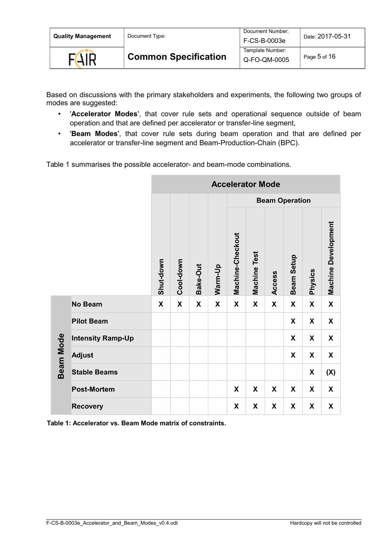| <b>Quality Management</b> | Document Type:              | Document Number:<br>F-CS-B-0003e | Date: 2017-05-31 |
|---------------------------|-----------------------------|----------------------------------|------------------|
| <b>FAIR</b>               | <b>Common Specification</b> | Template Number:<br>Q-FO-QM-0005 | Page 5 of 16     |

Based on discussions with the primary stakeholders and experiments, the following two groups of modes are suggested:

- '**Accelerator Modes**', that cover rule sets and operational sequence outside of beam operation and that are defined per accelerator or transfer-line segment,
- '**Beam Modes**', that cover rule sets during beam operation and that are defined per accelerator or transfer-line segment and Beam-Production-Chain (BPC).

Table [1](#page-4-0) summarises the possible accelerator- and beam-mode combinations.

|           |                          | <b>Accelerator Mode</b> |           |          |         |                           |                     |        |                       |                |                            |
|-----------|--------------------------|-------------------------|-----------|----------|---------|---------------------------|---------------------|--------|-----------------------|----------------|----------------------------|
|           |                          |                         |           |          |         |                           |                     |        | <b>Beam Operation</b> |                |                            |
|           |                          | Shut-down               | Cool-down | Bake-Out | Warm-Up | Machine-Checkout          | <b>Machine Test</b> | Access | Beam Setup            | <b>Physics</b> | <b>Machine Development</b> |
|           | <b>No Beam</b>           | X                       | X         | X        | X       | X                         | X                   | X      | X                     | X              | X                          |
|           | <b>Pilot Beam</b>        |                         |           |          |         |                           |                     |        | X                     | X              | X                          |
|           | <b>Intensity Ramp-Up</b> |                         |           |          |         |                           |                     |        | X                     | X              | X                          |
| Beam Mode | <b>Adjust</b>            |                         |           |          |         |                           |                     |        | X                     | X              | X                          |
|           | <b>Stable Beams</b>      |                         |           |          |         |                           |                     |        |                       | X              | (X)                        |
|           | <b>Post-Mortem</b>       |                         |           |          |         | X                         | X                   | X      | X                     | X              | X                          |
|           | <b>Recovery</b>          |                         |           |          |         | $\boldsymbol{\mathsf{x}}$ | X                   | X      | X                     | X              | X                          |

<span id="page-4-0"></span>**Table 1: Accelerator vs. Beam Mode matrix of constraints.**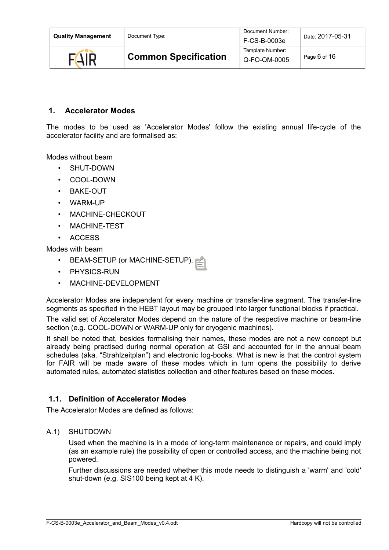| <b>Quality Management</b> | Document Type:              | Document Number:<br>F-CS-B-0003e | Date: 2017-05-31 |
|---------------------------|-----------------------------|----------------------------------|------------------|
| <b>FAIR</b>               | <b>Common Specification</b> | Template Number:<br>Q-FO-QM-0005 | Page 6 of 16     |

### <span id="page-5-1"></span> **1. Accelerator Modes**

The modes to be used as 'Accelerator Modes' follow the existing annual life-cycle of the accelerator facility and are formalised as:

Modes without beam

- SHUT-DOWN
- COOL-DOWN
- BAKE-OUT
- WARM-UP
- MACHINE-CHECKOUT
- MACHINE-TEST
- ACCESS

Modes with beam

- BEAM-SETUP (or MACHINE-SETUP).
- PHYSICS-RUN
- MACHINE-DEVELOPMENT

Accelerator Modes are independent for every machine or transfer-line segment. The transfer-line segments as specified in the HEBT layout may be grouped into larger functional blocks if practical.

The valid set of Accelerator Modes depend on the nature of the respective machine or beam-line section (e.g. COOL-DOWN or WARM-UP only for cryogenic machines).

It shall be noted that, besides formalising their names, these modes are not a new concept but already being practised during normal operation at GSI and accounted for in the annual beam schedules (aka. "Strahlzeitplan") and electronic log-books. What is new is that the control system for FAIR will be made aware of these modes which in turn opens the possibility to derive automated rules, automated statistics collection and other features based on these modes.

#### <span id="page-5-0"></span> **1.1. Definition of Accelerator Modes**

The Accelerator Modes are defined as follows:

#### A.1) SHUTDOWN

Used when the machine is in a mode of long-term maintenance or repairs, and could imply (as an example rule) the possibility of open or controlled access, and the machine being not powered.

Further discussions are needed whether this mode needs to distinguish a 'warm' and 'cold' shut-down (e.g. SIS100 being kept at 4 K).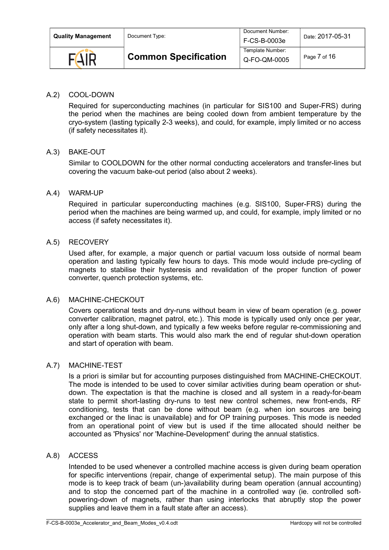| <b>Quality Management</b> | Document Type:              | Document Number:<br>F-CS-B-0003e | Date: 2017-05-31 |
|---------------------------|-----------------------------|----------------------------------|------------------|
| $F(\Lambda)$              | <b>Common Specification</b> | Template Number:<br>Q-FO-QM-0005 | Page 7 of 16     |

#### A.2) COOL-DOWN

Required for superconducting machines (in particular for SIS100 and Super-FRS) during the period when the machines are being cooled down from ambient temperature by the cryo-system (lasting typically 2-3 weeks), and could, for example, imply limited or no access (if safety necessitates it).

#### A.3) BAKE-OUT

Similar to COOLDOWN for the other normal conducting accelerators and transfer-lines but covering the vacuum bake-out period (also about 2 weeks).

#### A.4) WARM-UP

Required in particular superconducting machines (e.g. SIS100, Super-FRS) during the period when the machines are being warmed up, and could, for example, imply limited or no access (if safety necessitates it).

#### A.5) RECOVERY

Used after, for example, a major quench or partial vacuum loss outside of normal beam operation and lasting typically few hours to days. This mode would include pre-cycling of magnets to stabilise their hysteresis and revalidation of the proper function of power converter, quench protection systems, etc.

#### A.6) MACHINE-CHECKOUT

Covers operational tests and dry-runs without beam in view of beam operation (e.g. power converter calibration, magnet patrol, etc.). This mode is typically used only once per year, only after a long shut-down, and typically a few weeks before regular re-commissioning and operation with beam starts. This would also mark the end of regular shut-down operation and start of operation with beam.

#### A.7) MACHINE-TEST

Is a priori is similar but for accounting purposes distinguished from MACHINE-CHECKOUT. The mode is intended to be used to cover similar activities during beam operation or shutdown. The expectation is that the machine is closed and all system in a ready-for-beam state to permit short-lasting dry-runs to test new control schemes, new front-ends, RF conditioning, tests that can be done without beam (e.g. when ion sources are being exchanged or the linac is unavailable) and for OP training purposes. This mode is needed from an operational point of view but is used if the time allocated should neither be accounted as 'Physics' nor 'Machine-Development' during the annual statistics.

#### A.8) ACCESS

Intended to be used whenever a controlled machine access is given during beam operation for specific interventions (repair, change of experimental setup). The main purpose of this mode is to keep track of beam (un-)availability during beam operation (annual accounting) and to stop the concerned part of the machine in a controlled way (ie. controlled softpowering-down of magnets, rather than using interlocks that abruptly stop the power supplies and leave them in a fault state after an access).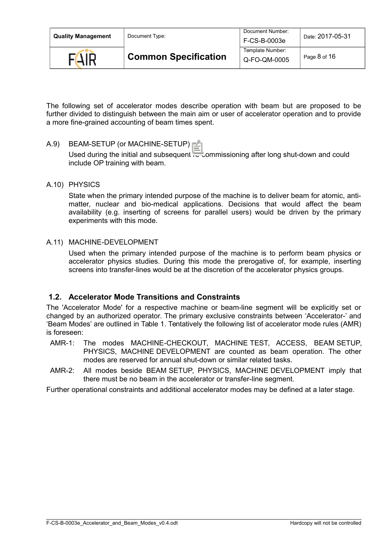| <b>Quality Management</b> | Document Type:              | Document Number:<br>F-CS-B-0003e | Date: 2017-05-31 |
|---------------------------|-----------------------------|----------------------------------|------------------|
| <b>FAIR</b>               | <b>Common Specification</b> | Template Number:<br>Q-FO-QM-0005 | Page 8 of 16     |

The following set of accelerator modes describe operation with beam but are proposed to be further divided to distinguish between the main aim or user of accelerator operation and to provide a more fine-grained accounting of beam times spent.

#### A.9) BEAM-SETUP (or MACHINE-SETUP)

Used during the initial and subsequent re-commissioning after long shut-down and could include OP training with beam.

A.10) PHYSICS

State when the primary intended purpose of the machine is to deliver beam for atomic, antimatter, nuclear and bio-medical applications. Decisions that would affect the beam availability (e.g. inserting of screens for parallel users) would be driven by the primary experiments with this mode.

A.11) MACHINE-DEVELOPMENT

Used when the primary intended purpose of the machine is to perform beam physics or accelerator physics studies. During this mode the prerogative of, for example, inserting screens into transfer-lines would be at the discretion of the accelerator physics groups.

### <span id="page-7-0"></span> **1.2. Accelerator Mode Transitions and Constraints**

The 'Accelerator Mode' for a respective machine or beam-line segment will be explicitly set or changed by an authorized operator. The primary exclusive constraints between 'Accelerator-' and 'Beam Modes' are outlined in Table [1.](#page-4-0) Tentatively the following list of accelerator mode rules (AMR) is foreseen:

- AMR-1: The modes MACHINE-CHECKOUT, MACHINE TEST, ACCESS, BEAM SETUP, PHYSICS, MACHINE DEVELOPMENT are counted as beam operation. The other modes are reserved for annual shut-down or similar related tasks.
- AMR-2: All modes beside BEAM SETUP, PHYSICS, MACHINE DEVELOPMENT imply that there must be no beam in the accelerator or transfer-line segment.

Further operational constraints and additional accelerator modes may be defined at a later stage.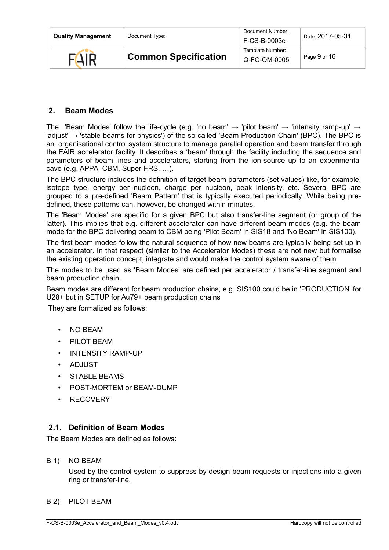| <b>Quality Management</b> | Document Type:              | Document Number:<br>F-CS-B-0003e | Date: 2017-05-31 |
|---------------------------|-----------------------------|----------------------------------|------------------|
| <b>FAIR</b>               | <b>Common Specification</b> | Template Number:<br>Q-FO-QM-0005 | Page 9 of 16     |

### <span id="page-8-1"></span> **2. Beam Modes**

The 'Beam Modes' follow the life-cycle (e.g. 'no beam'  $\rightarrow$  'pilot beam'  $\rightarrow$  'intensity ramp-up'  $\rightarrow$ 'adjust'  $\rightarrow$  'stable beams for physics') of the so called 'Beam-Production-Chain' (BPC). The BPC is an organisational control system structure to manage parallel operation and beam transfer through the FAIR accelerator facility. It describes a 'beam' through the facility including the sequence and parameters of beam lines and accelerators, starting from the ion-source up to an experimental cave (e.g. APPA, CBM, Super-FRS, …).

The BPC structure includes the definition of target beam parameters (set values) like, for example, isotope type, energy per nucleon, charge per nucleon, peak intensity, etc. Several BPC are grouped to a pre-defined 'Beam Pattern' that is typically executed periodically. While being predefined, these patterns can, however, be changed within minutes.

The 'Beam Modes' are specific for a given BPC but also transfer-line segment (or group of the latter). This implies that e.g. different accelerator can have different beam modes (e.g. the beam mode for the BPC delivering beam to CBM being 'Pilot Beam' in SIS18 and 'No Beam' in SIS100).

The first beam modes follow the natural sequence of how new beams are typically being set-up in an accelerator. In that respect (similar to the Accelerator Modes) these are not new but formalise the existing operation concept, integrate and would make the control system aware of them.

The modes to be used as 'Beam Modes' are defined per accelerator / transfer-line segment and beam production chain.

Beam modes are different for beam production chains, e.g. SIS100 could be in 'PRODUCTION' for U28+ but in SETUP for Au79+ beam production chains

They are formalized as follows:

- NO BEAM
- PILOT BEAM
- INTENSITY RAMP-UP
- ADJUST
- STABLE BEAMS
- POST-MORTEM or BEAM-DUMP
- **RECOVERY**

### <span id="page-8-0"></span> **2.1. Definition of Beam Modes**

The Beam Modes are defined as follows:

B.1) NO BEAM

Used by the control system to suppress by design beam requests or injections into a given ring or transfer-line.

B.2) PILOT BEAM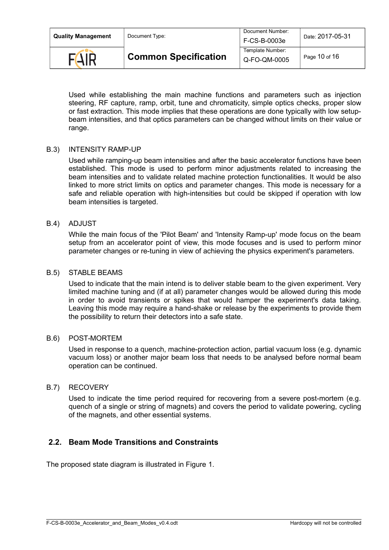| <b>Quality Management</b> | Document Type:              | Document Number:<br>F-CS-B-0003e | Date: 2017-05-31 |
|---------------------------|-----------------------------|----------------------------------|------------------|
| $F(\Delta)$               | <b>Common Specification</b> | Template Number:<br>Q-FO-QM-0005 | Page 10 of 16    |

Used while establishing the main machine functions and parameters such as injection steering, RF capture, ramp, orbit, tune and chromaticity, simple optics checks, proper slow or fast extraction. This mode implies that these operations are done typically with low setupbeam intensities, and that optics parameters can be changed without limits on their value or range.

#### B.3) INTENSITY RAMP-UP

Used while ramping-up beam intensities and after the basic accelerator functions have been established. This mode is used to perform minor adjustments related to increasing the beam intensities and to validate related machine protection functionalities. It would be also linked to more strict limits on optics and parameter changes. This mode is necessary for a safe and reliable operation with high-intensities but could be skipped if operation with low beam intensities is targeted.

#### B.4) ADJUST

While the main focus of the 'Pilot Beam' and 'Intensity Ramp-up' mode focus on the beam setup from an accelerator point of view, this mode focuses and is used to perform minor parameter changes or re-tuning in view of achieving the physics experiment's parameters.

#### B.5) STABLE BEAMS

Used to indicate that the main intend is to deliver stable beam to the given experiment. Very limited machine tuning and (if at all) parameter changes would be allowed during this mode in order to avoid transients or spikes that would hamper the experiment's data taking. Leaving this mode may require a hand-shake or release by the experiments to provide them the possibility to return their detectors into a safe state.

#### B.6) POST-MORTEM

Used in response to a quench, machine-protection action, partial vacuum loss (e.g. dynamic vacuum loss) or another major beam loss that needs to be analysed before normal beam operation can be continued.

#### B.7) RECOVERY

Used to indicate the time period required for recovering from a severe post-mortem (e.g. quench of a single or string of magnets) and covers the period to validate powering, cycling of the magnets, and other essential systems.

### <span id="page-9-0"></span> **2.2. Beam Mode Transitions and Constraints**

The proposed state diagram is illustrated in Figure [1.](#page-10-0)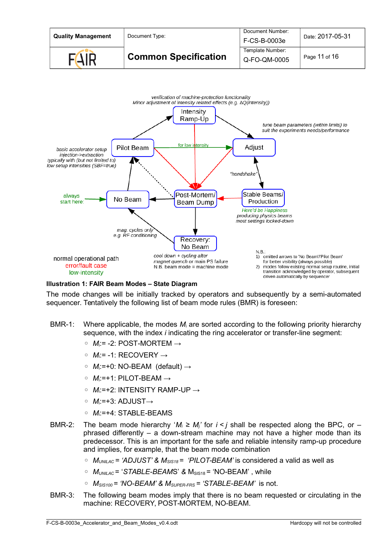



#### <span id="page-10-0"></span>**Illustration 1: FAIR Beam Modes – State Diagram**

The mode changes will be initially tracked by operators and subsequently by a semi-automated sequencer. Tentatively the following list of beam mode rules (BMR) is foreseen:

- BMR-1: Where applicable, the modes *M*i are sorted according to the following priority hierarchy sequence, with the index *i* indicating the ring accelerator or transfer-line segment:
	- *M*i:= -2: POST-MORTEM →
	- *M*i:= -1: RECOVERY →
	- *M*i:=+0: NO-BEAM (default) →
	- *M*i:=+1: PILOT-BEAM →
	- *M*i:=+2: INTENSITY RAMP-UP →
	- *M*i:=+3: ADJUST→
	- *M*i:=+4: STABLE-BEAMS
- BMR-2: The beam mode hierarchy ' $M_i \ge M_i$ ' for  $i < j$  shall be respected along the BPC, or phrased differently – a down-stream machine may not have a higher mode than its predecessor. This is an important for the safe and reliable intensity ramp-up procedure and implies, for example, that the beam mode combination
	- *MUNILAC = 'ADJUST' & MSIS18 = 'PILOT-BEAM'* is considered a valid as well as
	- *MUNILAC* = '*STABLE-BEAM*S' *&* MSIS18 = 'NO-BEAM' , while
	- *MSIS100 = 'NO-BEAM' & MSUPER-FRS = 'STABLE-BEAM'* is not.
- BMR-3: The following beam modes imply that there is no beam requested or circulating in the machine: RECOVERY, POST-MORTEM, NO-BEAM.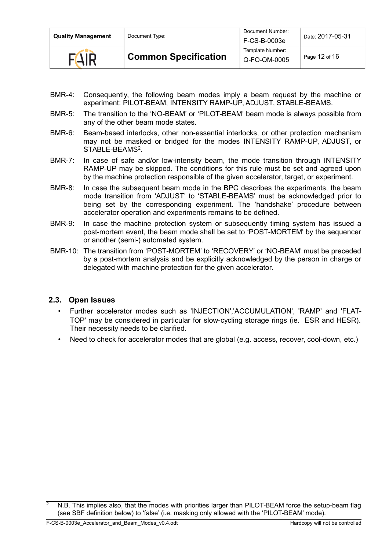| <b>Quality Management</b> | Document Type:              | Document Number:<br>F-CS-B-0003e | Date: 2017-05-31 |
|---------------------------|-----------------------------|----------------------------------|------------------|
| <b>FAIR</b>               | <b>Common Specification</b> | Template Number:<br>Q-FO-QM-0005 | Page 12 of 16    |

- BMR-4: Consequently, the following beam modes imply a beam request by the machine or experiment: PILOT-BEAM, INTENSITY RAMP-UP, ADJUST, STABLE-BEAMS.
- BMR-5: The transition to the 'NO-BEAM' or 'PILOT-BEAM' beam mode is always possible from any of the other beam mode states.
- BMR-6: Beam-based interlocks, other non-essential interlocks, or other protection mechanism may not be masked or bridged for the modes INTENSITY RAMP-UP, ADJUST, or STABLE-BEAMS<sup>[2](#page-11-1)</sup>.
- BMR-7: In case of safe and/or low-intensity beam, the mode transition through INTENSITY RAMP-UP may be skipped. The conditions for this rule must be set and agreed upon by the machine protection responsible of the given accelerator, target, or experiment.
- BMR-8: In case the subsequent beam mode in the BPC describes the experiments, the beam mode transition from 'ADJUST' to 'STABLE-BEAMS' must be acknowledged prior to being set by the corresponding experiment. The 'handshake' procedure between accelerator operation and experiments remains to be defined.
- BMR-9: In case the machine protection system or subsequently timing system has issued a post-mortem event, the beam mode shall be set to 'POST-MORTEM' by the sequencer or another (semi-) automated system.
- BMR-10: The transition from 'POST-MORTEM' to 'RECOVERY' or 'NO-BEAM' must be preceded by a post-mortem analysis and be explicitly acknowledged by the person in charge or delegated with machine protection for the given accelerator.

### **2.3. Open Issues**

- <span id="page-11-0"></span>• Further accelerator modes such as 'INJECTION','ACCUMULATION', 'RAMP' and 'FLAT-TOP' may be considered in particular for slow-cycling storage rings (ie. ESR and HESR). Their necessity needs to be clarified.
- Need to check for accelerator modes that are global (e.g. access, recover, cool-down, etc.)

<span id="page-11-1"></span>N.B. This implies also, that the modes with priorities larger than PILOT-BEAM force the setup-beam flag (see SBF definition below) to 'false' (i.e. masking only allowed with the 'PILOT-BEAM' mode).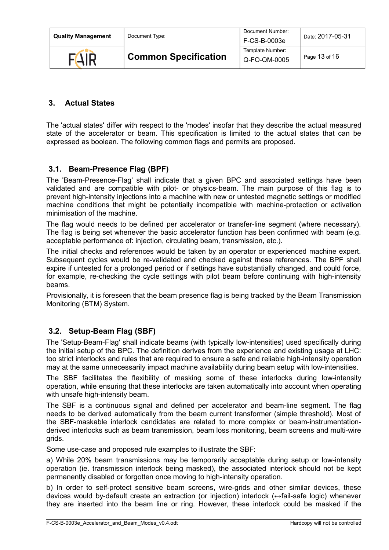| <b>Quality Management</b> | Document Type:              | Document Number:<br>F-CS-B-0003e | Date: 2017-05-31 |
|---------------------------|-----------------------------|----------------------------------|------------------|
| <b>FAIR</b>               | <b>Common Specification</b> | Template Number:<br>Q-FO-QM-0005 | Page 13 of 16    |

# <span id="page-12-2"></span> **3. Actual States**

The 'actual states' differ with respect to the 'modes' insofar that they describe the actual measured state of the accelerator or beam. This specification is limited to the actual states that can be expressed as boolean. The following common flags and permits are proposed.

## <span id="page-12-1"></span> **3.1. Beam-Presence Flag (BPF)**

The 'Beam-Presence-Flag' shall indicate that a given BPC and associated settings have been validated and are compatible with pilot- or physics-beam. The main purpose of this flag is to prevent high-intensity injections into a machine with new or untested magnetic settings or modified machine conditions that might be potentially incompatible with machine-protection or activation minimisation of the machine.

The flag would needs to be defined per accelerator or transfer-line segment (where necessary). The flag is being set whenever the basic accelerator function has been confirmed with beam (e.g. acceptable performance of: injection, circulating beam, transmission, etc.).

The initial checks and references would be taken by an operator or experienced machine expert. Subsequent cycles would be re-validated and checked against these references. The BPF shall expire if untested for a prolonged period or if settings have substantially changed, and could force, for example, re-checking the cycle settings with pilot beam before continuing with high-intensity beams.

Provisionally, it is foreseen that the beam presence flag is being tracked by the Beam Transmission Monitoring (BTM) System.

# <span id="page-12-0"></span> **3.2. Setup-Beam Flag (SBF)**

The 'Setup-Beam-Flag' shall indicate beams (with typically low-intensities) used specifically during the initial setup of the BPC. The definition derives from the experience and existing usage at LHC: too strict interlocks and rules that are required to ensure a safe and reliable high-intensity operation may at the same unnecessarily impact machine availability during beam setup with low-intensities.

The SBF facilitates the flexibility of masking some of these interlocks during low-intensity operation, while ensuring that these interlocks are taken automatically into account when operating with unsafe high-intensity beam.

The SBF is a continuous signal and defined per accelerator and beam-line segment. The flag needs to be derived automatically from the beam current transformer (simple threshold). Most of the SBF-maskable interlock candidates are related to more complex or beam-instrumentationderived interlocks such as beam transmission, beam loss monitoring, beam screens and multi-wire grids.

Some use-case and proposed rule examples to illustrate the SBF:

a) While 20% beam transmissions may be temporarily acceptable during setup or low-intensity operation (ie. transmission interlock being masked), the associated interlock should not be kept permanently disabled or forgotten once moving to high-intensity operation.

b) In order to self-protect sensitive beam screens, wire-grids and other similar devices, these devices would by-default create an extraction (or injection) interlock (↔fail-safe logic) whenever they are inserted into the beam line or ring. However, these interlock could be masked if the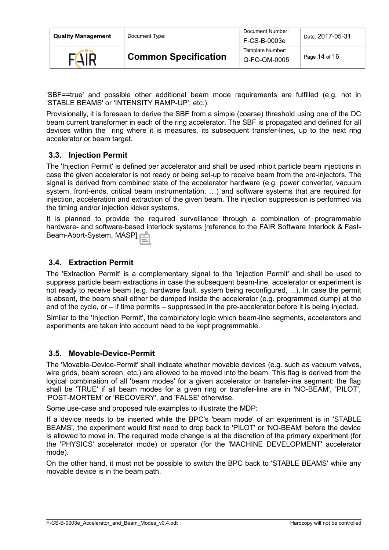| <b>Quality Management</b> | Document Type:              | Document Number:<br>F-CS-B-0003e | Date: 2017-05-31 |
|---------------------------|-----------------------------|----------------------------------|------------------|
|                           | <b>Common Specification</b> | Template Number:<br>Q-FO-QM-0005 | Page 14 of 16    |

'SBF==true' and possible other additional beam mode requirements are fulfilled (e.g. not in 'STABLE BEAMS' or 'INTENSITY RAMP-UP', etc.).

Provisionally, it is foreseen to derive the SBF from a simple (coarse) threshold using one of the DC beam current transformer in each of the ring accelerator. The SBF is propagated and defined for all devices within the ring where it is measures, its subsequent transfer-lines, up to the next ring accelerator or beam target.

### <span id="page-13-2"></span> **3.3. Injection Permit**

The 'Injection Permit' is defined per accelerator and shall be used inhibit particle beam injections in case the given accelerator is not ready or being set-up to receive beam from the pre-injectors. The signal is derived from combined state of the accelerator hardware (e.g. power converter, vacuum system, front-ends, critical beam instrumentation, …) and software systems that are required for injection, acceleration and extraction of the given beam. The injection suppression is performed via the timing and/or injection kicker systems.

It is planned to provide the required surveillance through a combination of programmable hardware- and software-based interlock systems [reference to the FAIR Software Interlock & Fast-Beam-Abort-System, MASP].

### <span id="page-13-1"></span> **3.4. Extraction Permit**

The 'Extraction Permit' is a complementary signal to the 'Injection Permit' and shall be used to suppress particle beam extractions in case the subsequent beam-line, accelerator or experiment is not ready to receive beam (e.g. hardware fault, system being reconfigured, ...). In case the permit is absent, the beam shall either be dumped inside the accelerator (e.g. programmed dump) at the end of the cycle, or – if time permits – suppressed in the pre-accelerator before it is being injected.

Similar to the 'Injection Permit', the combinatory logic which beam-line segments, accelerators and experiments are taken into account need to be kept programmable.

#### <span id="page-13-0"></span> **3.5. Movable-Device-Permit**

The 'Movable-Device-Permit' shall indicate whether movable devices (e.g. such as vacuum valves, wire grids, beam screen, etc.) are allowed to be moved into the beam. This flag is derived from the logical combination of all 'beam modes' for a given accelerator or transfer-line segment: the flag shall be 'TRUE' if all beam modes for a given ring or transfer-line are in 'NO-BEAM', 'PILOT', 'POST-MORTEM' or 'RECOVERY', and 'FALSE' otherwise.

Some use-case and proposed rule examples to illustrate the MDP:

If a device needs to be inserted while the BPC's 'beam mode' of an experiment is in 'STABLE BEAMS', the experiment would first need to drop back to 'PILOT' or 'NO-BEAM' before the device is allowed to move in. The required mode change is at the discretion of the primary experiment (for the 'PHYSICS' accelerator mode) or operator (for the 'MACHINE DEVELOPMENT' accelerator mode).

On the other hand, it must not be possible to switch the BPC back to 'STABLE BEAMS' while any movable device is in the beam path.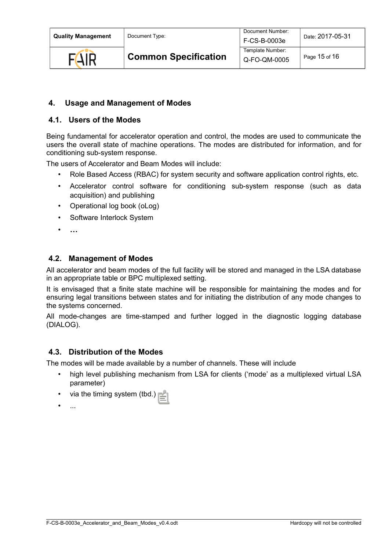# <span id="page-14-3"></span> **4. Usage and Management of Modes**

# <span id="page-14-2"></span> **4.1. Users of the Modes**

Being fundamental for accelerator operation and control, the modes are used to communicate the users the overall state of machine operations. The modes are distributed for information, and for conditioning sub-system response.

The users of Accelerator and Beam Modes will include:

- Role Based Access (RBAC) for system security and software application control rights, etc.
- Accelerator control software for conditioning sub-system response (such as data acquisition) and publishing
- Operational log book (oLog)
- Software Interlock System
- **…**

### <span id="page-14-1"></span> **4.2. Management of Modes**

All accelerator and beam modes of the full facility will be stored and managed in the LSA database in an appropriate table or BPC multiplexed setting.

It is envisaged that a finite state machine will be responsible for maintaining the modes and for ensuring legal transitions between states and for initiating the distribution of any mode changes to the systems concerned.

All mode-changes are time-stamped and further logged in the diagnostic logging database (DIALOG).

### <span id="page-14-0"></span> **4.3. Distribution of the Modes**

The modes will be made available by a number of channels. These will include

- high level publishing mechanism from LSA for clients ('mode' as a multiplexed virtual LSA parameter)
- via the timing system (tbd.)
- ...